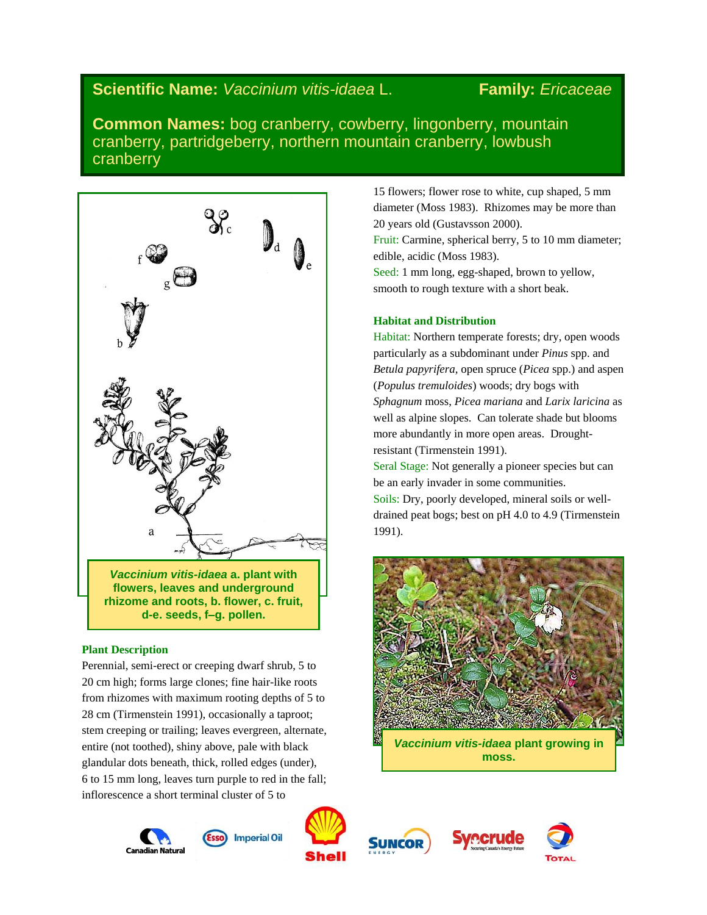# **Scientific Name:** *Vaccinium vitis-idaea* L. **Family:** *Ericaceae*

**Common Names:** bog cranberry, cowberry, lingonberry, mountain cranberry, partridgeberry, northern mountain cranberry, lowbush cranberry



# **Plant Description**

Perennial, semi-erect or creeping dwarf shrub, 5 to 20 cm high; forms large clones; fine hair-like roots from rhizomes with maximum rooting depths of 5 to 28 cm (Tirmenstein 1991), occasionally a taproot; stem creeping or trailing; leaves evergreen, alternate, entire (not toothed), shiny above, pale with black glandular dots beneath, thick, rolled edges (under), 6 to 15 mm long, leaves turn purple to red in the fall; inflorescence a short terminal cluster of 5 to

Canadian Natura











15 flowers; flower rose to white, cup shaped, 5 mm diameter (Moss 1983). Rhizomes may be more than 20 years old (Gustavsson 2000).

Fruit: Carmine, spherical berry, 5 to 10 mm diameter; edible, acidic (Moss 1983).

Seed: 1 mm long, egg-shaped, brown to yellow, smooth to rough texture with a short beak.

# **Habitat and Distribution**

Habitat: Northern temperate forests; dry, open woods particularly as a subdominant under *Pinus* spp. and *Betula papyrifera*, open spruce (*Picea* spp.) and aspen (*Populus tremuloides*) woods; dry bogs with *Sphagnum* moss, *Picea mariana* and *Larix laricina* as well as alpine slopes. Can tolerate shade but blooms more abundantly in more open areas. Droughtresistant (Tirmenstein 1991).

Seral Stage: Not generally a pioneer species but can be an early invader in some communities.

Soils: Dry, poorly developed, mineral soils or welldrained peat bogs; best on pH 4.0 to 4.9 (Tirmenstein 1991).

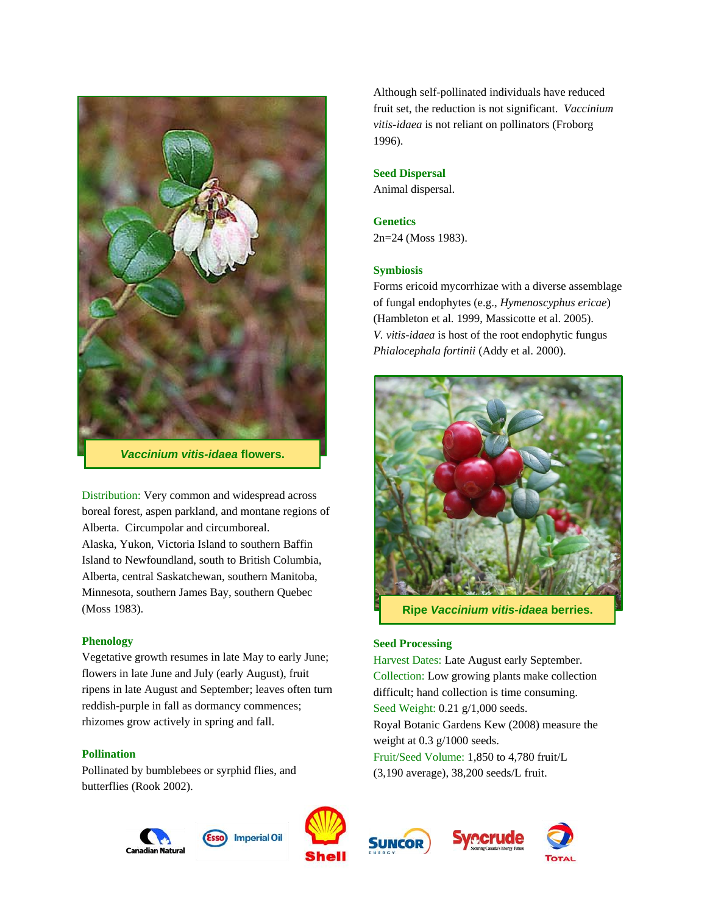

*Vaccinium vitis-idaea* **flowers.**

Distribution: Very common and widespread across boreal forest, aspen parkland, and montane regions of Alberta. Circumpolar and circumboreal. Alaska, Yukon, Victoria Island to southern Baffin Island to Newfoundland, south to British Columbia, Alberta, central Saskatchewan, southern Manitoba, Minnesota, southern James Bay, southern Quebec (Moss 1983).

# **Phenology**

Vegetative growth resumes in late May to early June; flowers in late June and July (early August), fruit ripens in late August and September; leaves often turn reddish-purple in fall as dormancy commences; rhizomes grow actively in spring and fall.

# **Pollination**

Pollinated by bumblebees or syrphid flies, and butterflies (Rook 2002).



**Imperial Oil Canadian Natura** 



**SUNCOR** 





Although self-pollinated individuals have reduced fruit set, the reduction is not significant. *Vaccinium vitis-idaea* is not reliant on pollinators (Froborg 1996).

# **Seed Dispersal**

Animal dispersal.

## **Genetics**

2n=24 (Moss 1983).

## **Symbiosis**

Forms ericoid mycorrhizae with a diverse assemblage of fungal endophytes (e.g., *Hymenoscyphus ericae*) (Hambleton et al. 1999, Massicotte et al. 2005). *V. vitis-idaea* is host of the root endophytic fungus *Phialocephala fortinii* (Addy et al. 2000).



**Ripe** *Vaccinium vitis-idaea* **berries.**

# **Seed Processing**

Harvest Dates: Late August early September. Collection: Low growing plants make collection difficult; hand collection is time consuming. Seed Weight: 0.21 g/1,000 seeds. Royal Botanic Gardens Kew (2008) measure the weight at 0.3 g/1000 seeds. Fruit/Seed Volume: 1,850 to 4,780 fruit/L (3,190 average), 38,200 seeds/L fruit.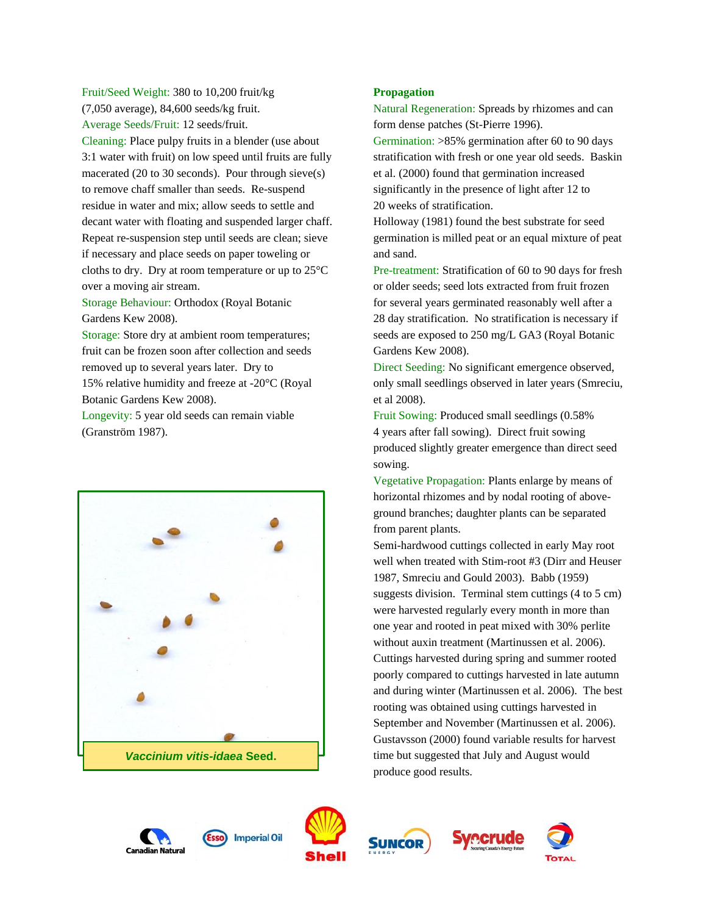Fruit/Seed Weight: 380 to 10,200 fruit/kg (7,050 average), 84,600 seeds/kg fruit. Average Seeds/Fruit: 12 seeds/fruit.

Cleaning: Place pulpy fruits in a blender (use about 3:1 water with fruit) on low speed until fruits are fully macerated (20 to 30 seconds). Pour through sieve(s) to remove chaff smaller than seeds. Re-suspend residue in water and mix; allow seeds to settle and decant water with floating and suspended larger chaff. Repeat re-suspension step until seeds are clean; sieve if necessary and place seeds on paper toweling or cloths to dry. Dry at room temperature or up to 25°C over a moving air stream.

Storage Behaviour: Orthodox (Royal Botanic Gardens Kew 2008).

Storage: Store dry at ambient room temperatures; fruit can be frozen soon after collection and seeds removed up to several years later. Dry to 15% relative humidity and freeze at -20°C (Royal Botanic Gardens Kew 2008).

Longevity: 5 year old seeds can remain viable (Granström 1987).



# **Propagation**

Natural Regeneration: Spreads by rhizomes and can form dense patches (St-Pierre 1996).

Germination: >85% germination after 60 to 90 days stratification with fresh or one year old seeds. Baskin et al. (2000) found that germination increased significantly in the presence of light after 12 to 20 weeks of stratification.

Holloway (1981) found the best substrate for seed germination is milled peat or an equal mixture of peat and sand.

Pre-treatment: Stratification of 60 to 90 days for fresh or older seeds; seed lots extracted from fruit frozen for several years germinated reasonably well after a 28 day stratification. No stratification is necessary if seeds are exposed to 250 mg/L GA3 (Royal Botanic Gardens Kew 2008).

Direct Seeding: No significant emergence observed, only small seedlings observed in later years (Smreciu, et al 2008).

Fruit Sowing: Produced small seedlings (0.58% 4 years after fall sowing). Direct fruit sowing produced slightly greater emergence than direct seed sowing.

Vegetative Propagation: Plants enlarge by means of horizontal rhizomes and by nodal rooting of aboveground branches; daughter plants can be separated from parent plants.

Semi-hardwood cuttings collected in early May root well when treated with Stim-root #3 (Dirr and Heuser 1987, Smreciu and Gould 2003). Babb (1959) suggests division. Terminal stem cuttings (4 to 5 cm) were harvested regularly every month in more than one year and rooted in peat mixed with 30% perlite without auxin treatment (Martinussen et al. 2006). Cuttings harvested during spring and summer rooted poorly compared to cuttings harvested in late autumn and during winter (Martinussen et al. 2006). The best rooting was obtained using cuttings harvested in September and November (Martinussen et al. 2006). Gustavsson (2000) found variable results for harvest time but suggested that July and August would produce good results.









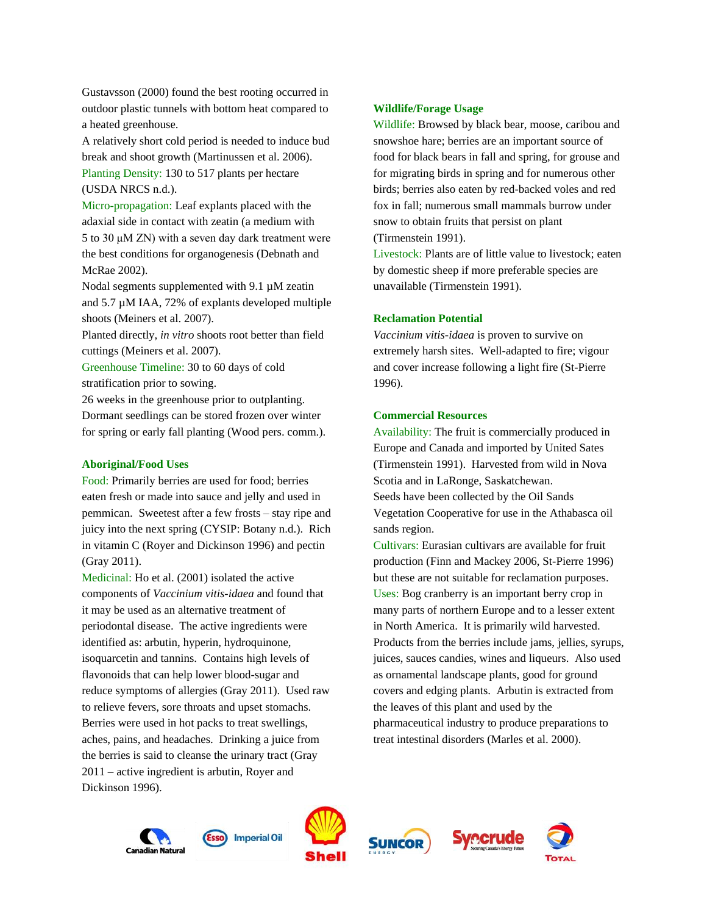Gustavsson (2000) found the best rooting occurred in outdoor plastic tunnels with bottom heat compared to a heated greenhouse.

A relatively short cold period is needed to induce bud break and shoot growth (Martinussen et al. 2006). Planting Density: 130 to 517 plants per hectare (USDA NRCS n.d.).

Micro-propagation: Leaf explants placed with the adaxial side in contact with zeatin (a medium with 5 to 30 μM ZN) with a seven day dark treatment were the best conditions for organogenesis (Debnath and McRae 2002).

Nodal segments supplemented with 9.1 µM zeatin and 5.7 µM IAA, 72% of explants developed multiple shoots (Meiners et al. 2007).

Planted directly, *in vitro* shoots root better than field cuttings (Meiners et al. 2007).

Greenhouse Timeline: 30 to 60 days of cold stratification prior to sowing.

26 weeks in the greenhouse prior to outplanting. Dormant seedlings can be stored frozen over winter for spring or early fall planting (Wood pers. comm.).

## **Aboriginal/Food Uses**

Food: Primarily berries are used for food; berries eaten fresh or made into sauce and jelly and used in pemmican. Sweetest after a few frosts – stay ripe and juicy into the next spring (CYSIP: Botany n.d.). Rich in vitamin C (Royer and Dickinson 1996) and pectin (Gray 2011).

Medicinal: Ho et al. (2001) isolated the active components of *Vaccinium vitis-idaea* and found that it may be used as an alternative treatment of periodontal disease. The active ingredients were identified as: arbutin, hyperin, hydroquinone, isoquarcetin and tannins. Contains high levels of flavonoids that can help lower blood-sugar and reduce symptoms of allergies (Gray 2011). Used raw to relieve fevers, sore throats and upset stomachs. Berries were used in hot packs to treat swellings, aches, pains, and headaches. Drinking a juice from the berries is said to cleanse the urinary tract (Gray 2011 – active ingredient is arbutin, Royer and Dickinson 1996).

# **Wildlife/Forage Usage**

Wildlife: Browsed by black bear, moose, caribou and snowshoe hare; berries are an important source of food for black bears in fall and spring, for grouse and for migrating birds in spring and for numerous other birds; berries also eaten by red-backed voles and red fox in fall; numerous small mammals burrow under snow to obtain fruits that persist on plant (Tirmenstein 1991).

Livestock: Plants are of little value to livestock; eaten by domestic sheep if more preferable species are unavailable (Tirmenstein 1991).

### **Reclamation Potential**

*Vaccinium vitis-idaea* is proven to survive on extremely harsh sites. Well-adapted to fire; vigour and cover increase following a light fire (St-Pierre 1996).

# **Commercial Resources**

Availability: The fruit is commercially produced in Europe and Canada and imported by United Sates (Tirmenstein 1991). Harvested from wild in Nova Scotia and in LaRonge, Saskatchewan. Seeds have been collected by the Oil Sands Vegetation Cooperative for use in the Athabasca oil sands region.

Cultivars: Eurasian cultivars are available for fruit production (Finn and Mackey 2006, St-Pierre 1996) but these are not suitable for reclamation purposes. Uses: Bog cranberry is an important berry crop in many parts of northern Europe and to a lesser extent in North America. It is primarily wild harvested. Products from the berries include jams, jellies, syrups, juices, sauces candies, wines and liqueurs. Also used as ornamental landscape plants, good for ground covers and edging plants. Arbutin is extracted from the leaves of this plant and used by the pharmaceutical industry to produce preparations to treat intestinal disorders (Marles et al. 2000).









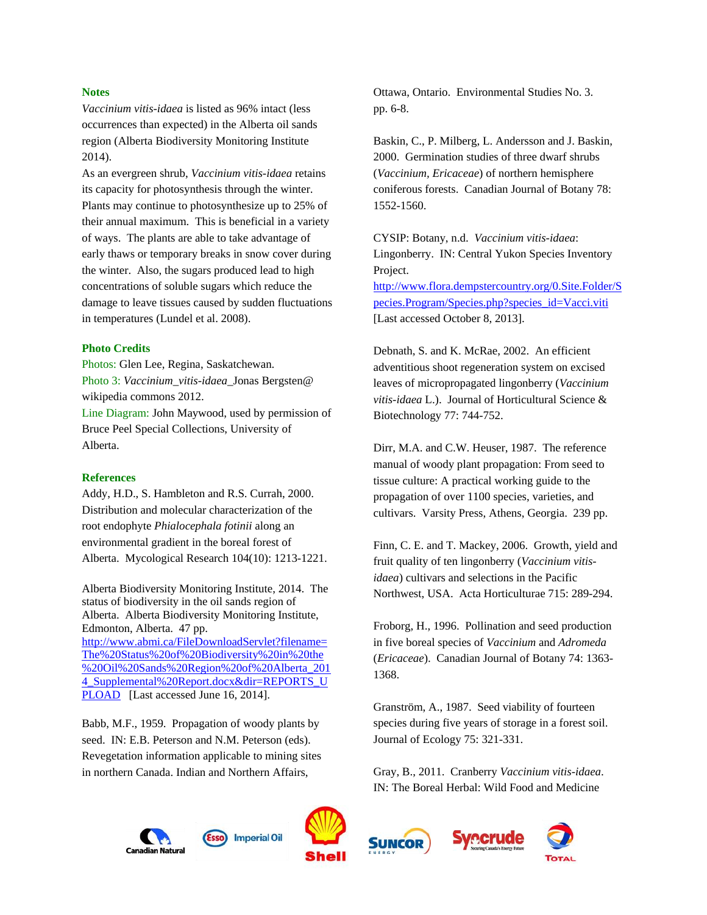### **Notes**

*Vaccinium vitis-idaea* is listed as 96% intact (less occurrences than expected) in the Alberta oil sands region (Alberta Biodiversity Monitoring Institute 2014).

As an evergreen shrub, *Vaccinium vitis-idaea* retains its capacity for photosynthesis through the winter. Plants may continue to photosynthesize up to 25% of their annual maximum. This is beneficial in a variety of ways. The plants are able to take advantage of early thaws or temporary breaks in snow cover during the winter. Also, the sugars produced lead to high concentrations of soluble sugars which reduce the damage to leave tissues caused by sudden fluctuations in temperatures (Lundel et al. 2008).

#### **Photo Credits**

Photos: Glen Lee, Regina, Saskatchewan. Photo 3: *Vaccinium\_vitis-idaea*\_Jonas Bergsten@ wikipedia commons 2012. Line Diagram: John Maywood, used by permission of Bruce Peel Special Collections, University of Alberta.

#### **References**

Addy, H.D., S. Hambleton and R.S. Currah, 2000. Distribution and molecular characterization of the root endophyte *Phialocephala fotinii* along an environmental gradient in the boreal forest of Alberta. Mycological Research 104(10): 1213-1221.

Alberta Biodiversity Monitoring Institute, 2014. The status of biodiversity in the oil sands region of Alberta. Alberta Biodiversity Monitoring Institute, Edmonton, Alberta. 47 pp. [http://www.abmi.ca/FileDownloadServlet?filename=](http://www.abmi.ca/FileDownloadServlet?filename=The%20Status%20of%20Biodiversity%20in%20the%20Oil%20Sands%20Region%20of%20Alberta_2014_Supplemental%20Report.docx&dir=REPORTS_UPLOAD)

[The%20Status%20of%20Biodiversity%20in%20the](http://www.abmi.ca/FileDownloadServlet?filename=The%20Status%20of%20Biodiversity%20in%20the%20Oil%20Sands%20Region%20of%20Alberta_2014_Supplemental%20Report.docx&dir=REPORTS_UPLOAD) [%20Oil%20Sands%20Region%20of%20Alberta\\_201](http://www.abmi.ca/FileDownloadServlet?filename=The%20Status%20of%20Biodiversity%20in%20the%20Oil%20Sands%20Region%20of%20Alberta_2014_Supplemental%20Report.docx&dir=REPORTS_UPLOAD) 4 Supplemental%20Report.docx&dir=REPORTS\_U [PLOAD](http://www.abmi.ca/FileDownloadServlet?filename=The%20Status%20of%20Biodiversity%20in%20the%20Oil%20Sands%20Region%20of%20Alberta_2014_Supplemental%20Report.docx&dir=REPORTS_UPLOAD) [Last accessed June 16, 2014].

Babb, M.F., 1959. Propagation of woody plants by seed. IN: E.B. Peterson and N.M. Peterson (eds). Revegetation information applicable to mining sites in northern Canada. Indian and Northern Affairs,

Ottawa, Ontario. Environmental Studies No. 3. pp. 6-8.

Baskin, C., P. Milberg, L. Andersson and J. Baskin, 2000. Germination studies of three dwarf shrubs (*Vaccinium, Ericaceae*) of northern hemisphere coniferous forests. Canadian Journal of Botany 78: 1552-1560.

CYSIP: Botany, n.d. *Vaccinium vitis-idaea*: Lingonberry. IN: Central Yukon Species Inventory Project. [http://www.flora.dempstercountry.org/0.Site.Folder/S](http://www.flora.dempstercountry.org/0.Site.Folder/Species.Program/Species.php?species_id=Vacci.viti) [pecies.Program/Species.php?species\\_id=Vacci.viti](http://www.flora.dempstercountry.org/0.Site.Folder/Species.Program/Species.php?species_id=Vacci.viti)  [Last accessed October 8, 2013].

Debnath, S. and K. McRae, 2002. An efficient adventitious shoot regeneration system on excised leaves of micropropagated lingonberry (*Vaccinium vitis-idaea* L.). Journal of Horticultural Science & Biotechnology 77: 744-752.

Dirr, M.A. and C.W. Heuser, 1987. The reference manual of woody plant propagation: From seed to tissue culture: A practical working guide to the propagation of over 1100 species, varieties, and cultivars. Varsity Press, Athens, Georgia. 239 pp.

Finn, C. E. and T. Mackey, 2006. Growth, yield and fruit quality of ten lingonberry (*Vaccinium vitisidaea*) cultivars and selections in the Pacific Northwest, USA. Acta Horticulturae 715: 289-294.

Froborg, H., 1996. Pollination and seed production in five boreal species of *Vaccinium* and *Adromeda* (*Ericaceae*). Canadian Journal of Botany 74: 1363- 1368.

Granström, A., 1987. Seed viability of fourteen species during five years of storage in a forest soil. Journal of Ecology 75: 321-331.

Gray, B., 2011. Cranberry *Vaccinium vitis-idaea*. IN: The Boreal Herbal: Wild Food and Medicine







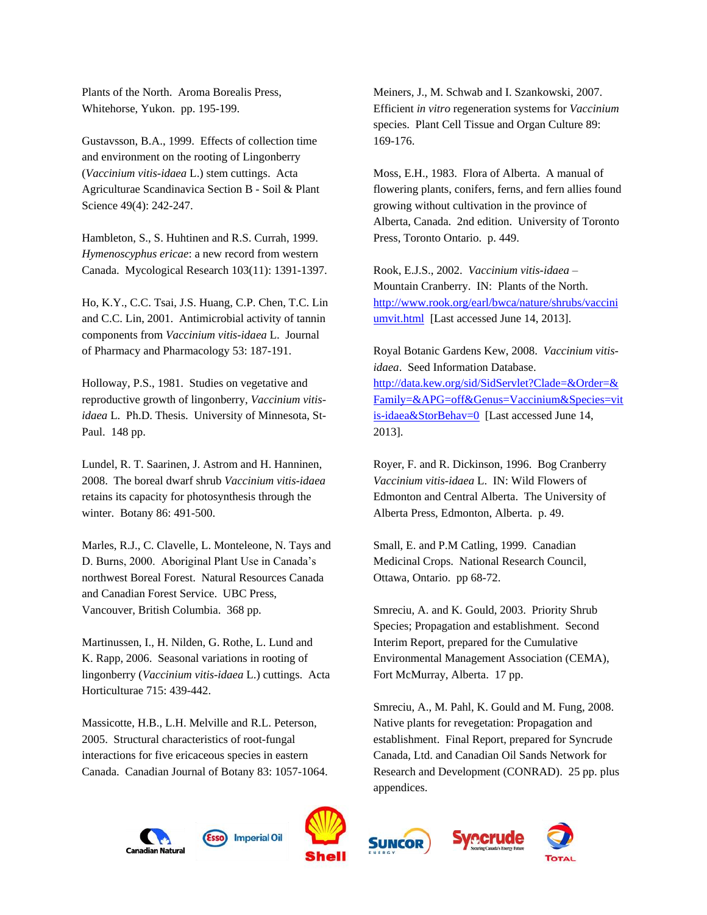Plants of the North. Aroma Borealis Press, Whitehorse, Yukon. pp. 195-199.

Gustavsson, B.A., 1999. Effects of collection time and environment on the rooting of Lingonberry (*Vaccinium vitis-idaea* L.) stem cuttings. Acta Agriculturae Scandinavica Section B - Soil & Plant Science 49(4): 242-247.

Hambleton, S., S. Huhtinen and R.S. Currah, 1999. *Hymenoscyphus ericae*: a new record from western Canada. Mycological Research 103(11): 1391-1397.

Ho, K.Y., C.C. Tsai, J.S. Huang, C.P. Chen, T.C. Lin and C.C. Lin, 2001. Antimicrobial activity of tannin components from *Vaccinium vitis-idaea* L. Journal of Pharmacy and Pharmacology 53: 187-191.

Holloway, P.S., 1981. Studies on vegetative and reproductive growth of lingonberry, *Vaccinium vitisidaea* L. Ph.D. Thesis. University of Minnesota, St-Paul. 148 pp.

Lundel, R. T. Saarinen, J. Astrom and H. Hanninen, 2008. The boreal dwarf shrub *Vaccinium vitis-idaea* retains its capacity for photosynthesis through the winter. Botany 86: 491-500.

Marles, R.J., C. Clavelle, L. Monteleone, N. Tays and D. Burns, 2000. Aboriginal Plant Use in Canada's northwest Boreal Forest. Natural Resources Canada and Canadian Forest Service. UBC Press, Vancouver, British Columbia. 368 pp.

Martinussen, I., H. Nilden, G. Rothe, L. Lund and K. Rapp, 2006. Seasonal variations in rooting of lingonberry (*Vaccinium vitis-idaea* L.) cuttings. Acta Horticulturae 715: 439-442.

Massicotte, H.B., L.H. Melville and R.L. Peterson, 2005. Structural characteristics of root-fungal interactions for five ericaceous species in eastern Canada. Canadian Journal of Botany 83: 1057-1064. Meiners, J., M. Schwab and I. Szankowski, 2007. Efficient *in vitro* regeneration systems for *Vaccinium* species. Plant Cell Tissue and Organ Culture 89: 169-176.

Moss, E.H., 1983. Flora of Alberta. A manual of flowering plants, conifers, ferns, and fern allies found growing without cultivation in the province of Alberta, Canada. 2nd edition. University of Toronto Press, Toronto Ontario. p. 449.

Rook, E.J.S., 2002. *Vaccinium vitis-idaea* – Mountain Cranberry. IN: Plants of the North. [http://www.rook.org/earl/bwca/nature/shrubs/vaccini](http://www.rook.org/earl/bwca/nature/shrubs/vacciniumvit.html) [umvit.html](http://www.rook.org/earl/bwca/nature/shrubs/vacciniumvit.html) [Last accessed June 14, 2013].

Royal Botanic Gardens Kew, 2008. *Vaccinium vitisidaea*. Seed Information Database. [http://data.kew.org/sid/SidServlet?Clade=&Order=&](http://data.kew.org/sid/SidServlet?Clade=&Order=&Family=&APG=off&Genus=Vaccinium&Species=vitis-idaea&StorBehav=0) [Family=&APG=off&Genus=Vaccinium&Species=vit](http://data.kew.org/sid/SidServlet?Clade=&Order=&Family=&APG=off&Genus=Vaccinium&Species=vitis-idaea&StorBehav=0) [is-idaea&StorBehav=0](http://data.kew.org/sid/SidServlet?Clade=&Order=&Family=&APG=off&Genus=Vaccinium&Species=vitis-idaea&StorBehav=0) [Last accessed June 14, 2013].

Royer, F. and R. Dickinson, 1996. Bog Cranberry *Vaccinium vitis-idaea* L. IN: Wild Flowers of Edmonton and Central Alberta. The University of Alberta Press, Edmonton, Alberta. p. 49.

Small, E. and P.M Catling, 1999. Canadian Medicinal Crops. National Research Council, Ottawa, Ontario. pp 68-72.

Smreciu, A. and K. Gould, 2003. Priority Shrub Species; Propagation and establishment. Second Interim Report, prepared for the Cumulative Environmental Management Association (CEMA), Fort McMurray, Alberta. 17 pp.

Smreciu, A., M. Pahl, K. Gould and M. Fung, 2008. Native plants for revegetation: Propagation and establishment. Final Report, prepared for Syncrude Canada, Ltd. and Canadian Oil Sands Network for Research and Development (CONRAD). 25 pp. plus appendices.